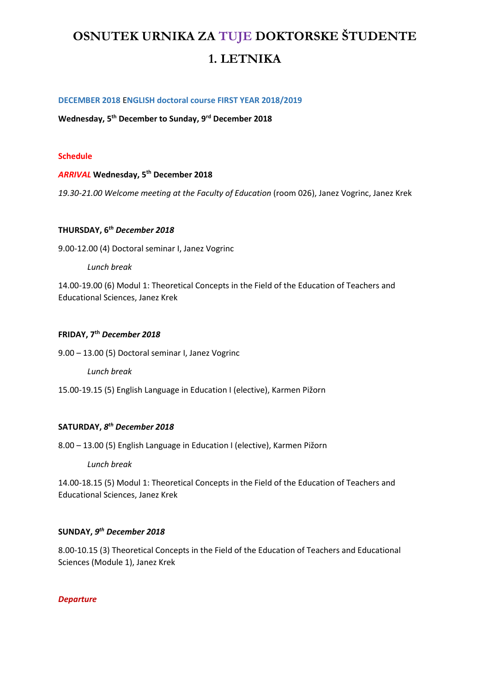# OSNUTEK URNIKA ZA TUJE DOKTORSKE ŠTUDENTE 1. LETNIKA

### **DECEMBER 2018** E**NGLISH doctoral course FIRST YEAR 2018/2019**

**Wednesday, 5th December to Sunday, 9rd December 2018**

#### **Schedule**

### *ARRIVAL* **Wednesday, 5th December 2018**

*19.30-21.00 Welcome meeting at the Faculty of Education* (room 026), Janez Vogrinc, Janez Krek

# **THURSDAY, 6***th December 2018*

9.00-12.00 (4) Doctoral seminar I, Janez Vogrinc

*Lunch break*

14.00-19.00 (6) Modul 1: Theoretical Concepts in the Field of the Education of Teachers and Educational Sciences, Janez Krek

#### **FRIDAY, 7th** *December 2018*

9.00 – 13.00 (5) Doctoral seminar I, Janez Vogrinc

*Lunch break*

15.00-19.15 (5) English Language in Education I (elective), Karmen Pižorn

## **SATURDAY,** *8 th December 2018*

8.00 – 13.00 (5) English Language in Education I (elective), Karmen Pižorn

*Lunch break*

14.00-18.15 (5) Modul 1: Theoretical Concepts in the Field of the Education of Teachers and Educational Sciences, Janez Krek

# **SUNDAY,** *9 th December 2018*

8.00-10.15 (3) Theoretical Concepts in the Field of the Education of Teachers and Educational Sciences (Module 1), Janez Krek

### *Departure*